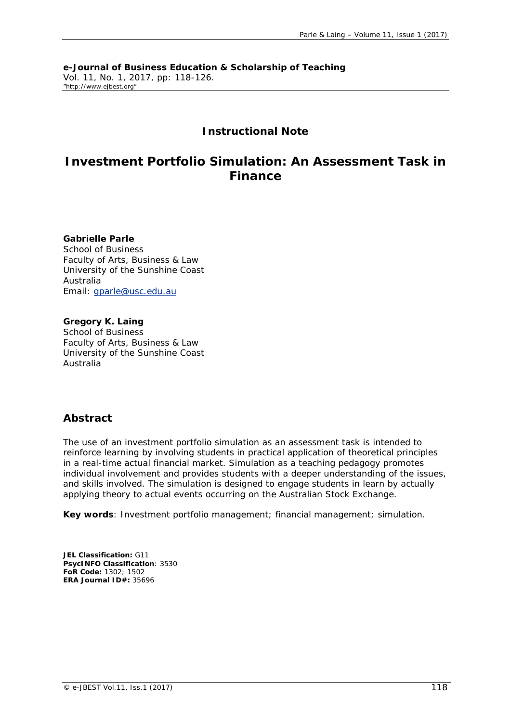**e-Journal of Business Education & Scholarship of Teaching** Vol. 11, No. 1, 2017, pp: 118-126. "http://www.ejbest.org"

## **Instructional Note**

# **Investment Portfolio Simulation: An Assessment Task in Finance**

**Gabrielle Parle** School of Business Faculty of Arts, Business & Law University of the Sunshine Coast Australia Email: [gparle@usc.edu.au](mailto:gparle@usc.edu.au)

**Gregory K. Laing** School of Business Faculty of Arts, Business & Law University of the Sunshine Coast Australia

## **Abstract**

*The use of an investment portfolio simulation as an assessment task is intended to reinforce learning by involving students in practical application of theoretical principles in a real-time actual financial market. Simulation as a teaching pedagogy promotes individual involvement and provides students with a deeper understanding of the issues, and skills involved. The simulation is designed to engage students in learn by actually applying theory to actual events occurring on the Australian Stock Exchange.*

**Key words***: Investment portfolio management; financial management; simulation.* 

**JEL Classification:** G11 **PsycINFO Classification**: 3530 **FoR Code:** 1302; 1502 **ERA Journal ID#:** 35696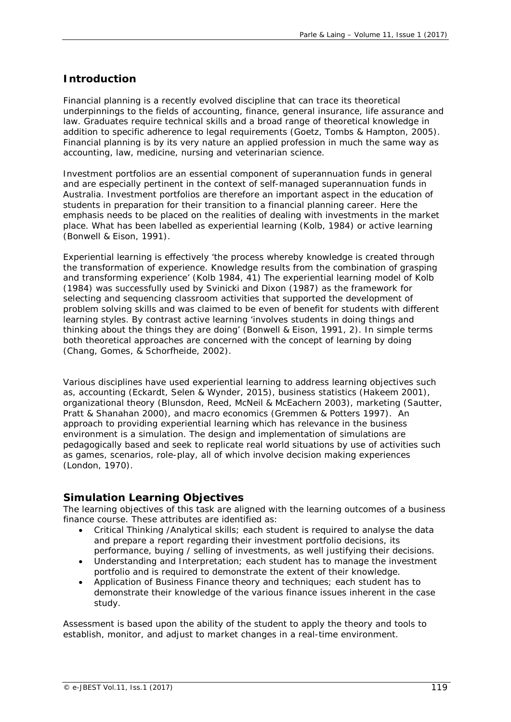# **Introduction**

Financial planning is a recently evolved discipline that can trace its theoretical underpinnings to the fields of accounting, finance, general insurance, life assurance and law. Graduates require technical skills and a broad range of theoretical knowledge in addition to specific adherence to legal requirements (Goetz, Tombs & Hampton, 2005). Financial planning is by its very nature an applied profession in much the same way as accounting, law, medicine, nursing and veterinarian science.

Investment portfolios are an essential component of superannuation funds in general and are especially pertinent in the context of self-managed superannuation funds in Australia. Investment portfolios are therefore an important aspect in the education of students in preparation for their transition to a financial planning career. Here the emphasis needs to be placed on the realities of dealing with investments in the market place. What has been labelled as experiential learning (Kolb, 1984) or active learning (Bonwell & Eison, 1991).

Experiential learning is effectively 'the process whereby knowledge is created through the transformation of experience. Knowledge results from the combination of grasping and transforming experience' (Kolb 1984, 41) The experiential learning model of Kolb (1984) was successfully used by Svinicki and Dixon (1987) as the framework for selecting and sequencing classroom activities that supported the development of problem solving skills and was claimed to be even of benefit for students with different learning styles. By contrast active learning 'involves students in doing things and thinking about the things they are doing' (Bonwell & Eison, 1991, 2). In simple terms both theoretical approaches are concerned with the concept of learning by doing (Chang, Gomes, & Schorfheide, 2002).

Various disciplines have used experiential learning to address learning objectives such as, accounting (Eckardt, Selen & Wynder, 2015), business statistics (Hakeem 2001), organizational theory (Blunsdon, Reed, McNeil & McEachern 2003), marketing (Sautter, Pratt & Shanahan 2000), and macro economics (Gremmen & Potters 1997). An approach to providing experiential learning which has relevance in the business environment is a simulation. The design and implementation of simulations are pedagogically based and seek to replicate real world situations by use of activities such as games, scenarios, role-play, all of which involve decision making experiences (London, 1970).

## **Simulation Learning Objectives**

The learning objectives of this task are aligned with the learning outcomes of a business finance course. These attributes are identified as:

- *Critical Thinking /Analytical skills*; each student is required to analyse the data and prepare a report regarding their investment portfolio decisions, its performance, buying / selling of investments, as well justifying their decisions.
- *Understanding and Interpretation*; each student has to manage the investment portfolio and is required to demonstrate the extent of their knowledge.
- *Application of Business Finance theory and techniques*; each student has to demonstrate their knowledge of the various finance issues inherent in the case study.

Assessment is based upon the ability of the student to apply the theory and tools to establish, monitor, and adjust to market changes in a real-time environment.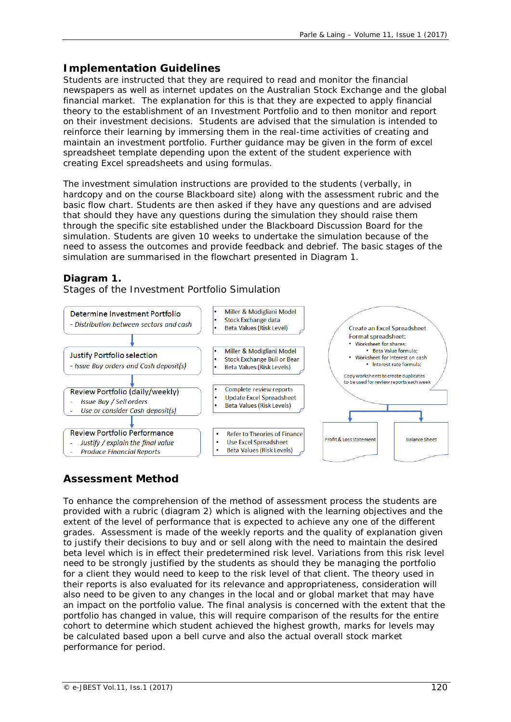## **Implementation Guidelines**

Students are instructed that they are required to read and monitor the financial newspapers as well as internet updates on the Australian Stock Exchange and the global financial market. The explanation for this is that they are expected to apply financial theory to the establishment of an Investment Portfolio and to then monitor and report on their investment decisions. Students are advised that the simulation is intended to reinforce their learning by immersing them in the real-time activities of creating and maintain an investment portfolio. Further guidance may be given in the form of excel spreadsheet template depending upon the extent of the student experience with creating Excel spreadsheets and using formulas.

The investment simulation instructions are provided to the students (verbally, in hardcopy and on the course Blackboard site) along with the assessment rubric and the basic flow chart. Students are then asked if they have any questions and are advised that should they have any questions during the simulation they should raise them through the specific site established under the Blackboard Discussion Board for the simulation. Students are given 10 weeks to undertake the simulation because of the need to assess the outcomes and provide feedback and debrief. The basic stages of the simulation are summarised in the flowchart presented in Diagram 1.

## **Diagram 1.**

*Stages of the Investment Portfolio Simulation*



# **Assessment Method**

To enhance the comprehension of the method of assessment process the students are provided with a rubric (diagram 2) which is aligned with the learning objectives and the extent of the level of performance that is expected to achieve any one of the different grades. Assessment is made of the weekly reports and the quality of explanation given to justify their decisions to buy and or sell along with the need to maintain the desired beta level which is in effect their predetermined risk level. Variations from this risk level need to be strongly justified by the students as should they be managing the portfolio for a client they would need to keep to the risk level of that client. The theory used in their reports is also evaluated for its relevance and appropriateness, consideration will also need to be given to any changes in the local and or global market that may have an impact on the portfolio value. The final analysis is concerned with the extent that the portfolio has changed in value, this will require comparison of the results for the entire cohort to determine which student achieved the highest growth, marks for levels may be calculated based upon a bell curve and also the actual overall stock market performance for period.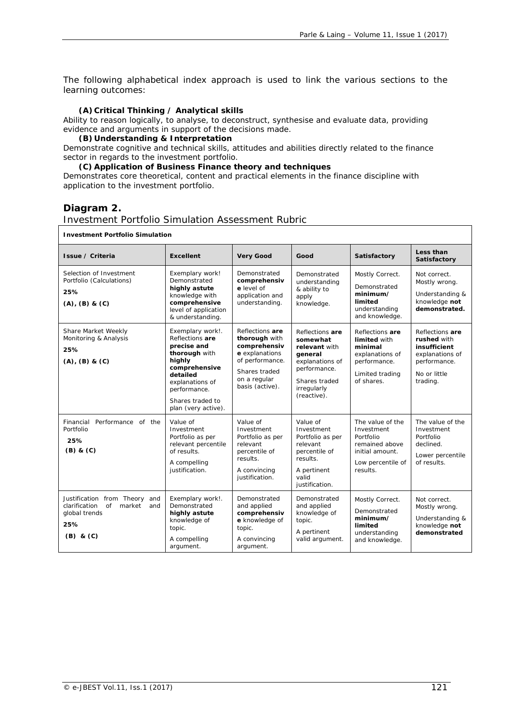The following alphabetical index approach is used to link the various sections to the learning outcomes:

#### **(A)Critical Thinking / Analytical skills**

Ability to reason logically, to analyse, to deconstruct, synthesise and evaluate data, providing evidence and arguments in support of the decisions made.

#### **(B) Understanding & Interpretation**

Demonstrate cognitive and technical skills, attitudes and abilities directly related to the finance sector in regards to the investment portfolio.

### **(C) Application of Business Finance theory and techniques**

Demonstrates core theoretical, content and practical elements in the finance discipline with application to the investment portfolio.

### **Diagram 2.**

#### *Investment Portfolio Simulation Assessment Rubric*

#### **Investment Portfolio Simulation**

| Issue / Criteria                                                                                                  | <b>Excellent</b>                                                                                                                                                                         | <b>Very Good</b>                                                                                                                          | Good                                                                                                                                      | Satisfactory                                                                                                      | Less than<br>Satisfactory                                                                                     |
|-------------------------------------------------------------------------------------------------------------------|------------------------------------------------------------------------------------------------------------------------------------------------------------------------------------------|-------------------------------------------------------------------------------------------------------------------------------------------|-------------------------------------------------------------------------------------------------------------------------------------------|-------------------------------------------------------------------------------------------------------------------|---------------------------------------------------------------------------------------------------------------|
| Selection of Investment<br>Portfolio (Calculations)<br>25%<br>(A), (B) & (C)                                      | Exemplary work!<br>Demonstrated<br>highly astute<br>knowledge with<br>comprehensive<br>level of application<br>& understanding.                                                          | Demonstrated<br>comprehensiv<br>e level of<br>application and<br>understanding.                                                           | Demonstrated<br>understanding<br>& ability to<br>apply<br>knowledge.                                                                      | Mostly Correct.<br>Demonstrated<br>minimum/<br>limited<br>understanding<br>and knowledge.                         | Not correct.<br>Mostly wrong.<br>Understanding &<br>knowledge not<br>demonstrated.                            |
| Share Market Weekly<br>Monitoring & Analysis<br>25%<br>$(A)$ , $(B)$ & $(C)$                                      | Exemplary work!.<br>Reflections are<br>precise and<br>thorough with<br>highly<br>comprehensive<br>detailed<br>explanations of<br>performance.<br>Shares traded to<br>plan (very active). | Reflections are<br>thorough with<br>comprehensiv<br>e explanations<br>of performance.<br>Shares traded<br>on a regular<br>basis (active). | Reflections are<br>somewhat<br>relevant with<br>qeneral<br>explanations of<br>performance.<br>Shares traded<br>irregularly<br>(reactive). | Reflections are<br>limited with<br>minimal<br>explanations of<br>performance.<br>Limited trading<br>of shares.    | Reflections are<br>rushed with<br>insufficient<br>explanations of<br>performance.<br>No or little<br>trading. |
| Financial<br>Performance of the<br>Portfolio<br>25%<br>$(B)$ & $(C)$                                              | Value of<br>Investment<br>Portfolio as per<br>relevant percentile<br>of results.<br>A compelling<br>justification.                                                                       | Value of<br>Investment<br>Portfolio as per<br>relevant<br>percentile of<br>results.<br>A convincing<br>justification.                     | Value of<br>Investment<br>Portfolio as per<br>relevant<br>percentile of<br>results.<br>A pertinent<br>valid<br>justification.             | The value of the<br>Investment<br>Portfolio<br>remained above<br>initial amount.<br>Low percentile of<br>results. | The value of the<br>Investment<br>Portfolio<br>declined.<br>Lower percentile<br>of results.                   |
| Justification from Theory<br>and<br>clarification<br>of<br>market<br>and<br>global trends<br>25%<br>$(B)$ & $(C)$ | Exemplary work!.<br>Demonstrated<br>highly astute<br>knowledge of<br>topic.<br>A compelling<br>argument.                                                                                 | Demonstrated<br>and applied<br>comprehensiv<br>e knowledge of<br>topic.<br>A convincing<br>argument.                                      | Demonstrated<br>and applied<br>knowledge of<br>topic.<br>A pertinent<br>valid argument.                                                   | Mostly Correct.<br>Demonstrated<br>minimum/<br>limited<br>understanding<br>and knowledge.                         | Not correct.<br>Mostly wrong.<br>Understanding &<br>knowledge not<br>demonstrated                             |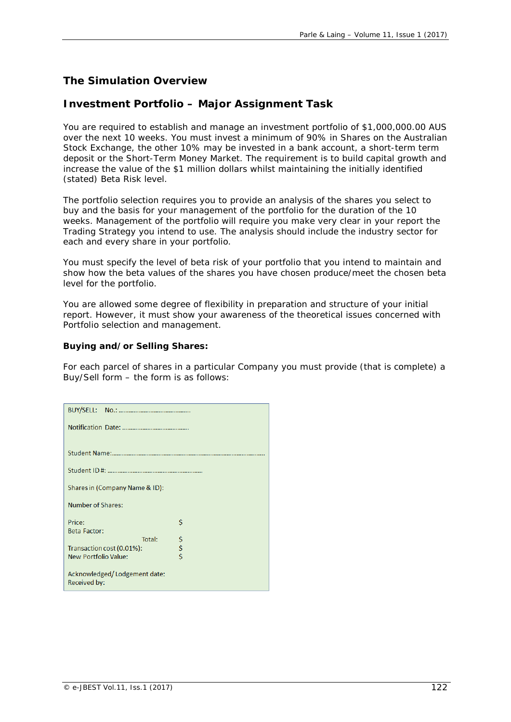## **The Simulation Overview**

### **Investment Portfolio – Major Assignment Task**

You are required to establish and manage an investment portfolio of \$1,000,000.00 AUS over the next 10 weeks. You must invest a minimum of 90% in Shares on the Australian Stock Exchange, the other 10% may be invested in a bank account, a short-term term deposit or the Short-Term Money Market. The requirement is to build capital growth and increase the value of the \$1 million dollars whilst maintaining the initially identified (stated) Beta Risk level.

The portfolio selection requires you to provide an analysis of the shares you select to buy and the basis for your management of the portfolio for the duration of the 10 weeks. Management of the portfolio will require you make very clear in your report the Trading Strategy you intend to use. The analysis should include the industry sector for each and every share in your portfolio.

You must specify the level of beta risk of your portfolio that you intend to maintain and show how the beta values of the shares you have chosen produce/meet the chosen beta level for the portfolio.

You are allowed some degree of flexibility in preparation and structure of your initial report. However, it must show your awareness of the theoretical issues concerned with Portfolio selection and management.

### *Buying and/or Selling Shares:*

For each parcel of shares in a particular Company you must provide (that is complete) a Buy/Sell form – the form is as follows:

| Shares in (Company Name & ID):               |               |
|----------------------------------------------|---------------|
| <b>Number of Shares:</b>                     |               |
| Price:                                       | Ś             |
| <b>Beta Factor:</b>                          |               |
| Total:                                       | \$            |
| Transaction cost (0.01%):                    | $\frac{5}{5}$ |
| <b>New Portfolio Value:</b>                  |               |
| Acknowledged/Lodgement date:<br>Received by: |               |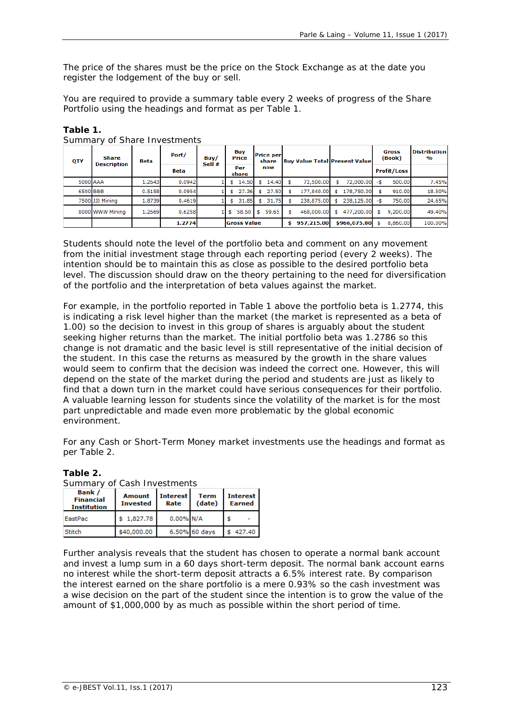The price of the shares must be the price on the Stock Exchange as at the date you register the lodgement of the buy or sell.

You are required to provide a summary table every 2 weeks of progress of the Share Portfolio using the headings and format as per Table 1.

| QTY      | <u>Sammary or Share mivestments</u><br>Share<br><b>Description</b> | Beta   | Port/  | Buy/ | Buy                |              | Price |            | Sell # |              | <b>Price per</b><br>share |                    | <b>Buy Value Total Present Value</b> |          |        |  |  |  |  | Gross<br>(Book) | <b>Distribution</b><br>$\mathbf{v}_0$ |
|----------|--------------------------------------------------------------------|--------|--------|------|--------------------|--------------|-------|------------|--------|--------------|---------------------------|--------------------|--------------------------------------|----------|--------|--|--|--|--|-----------------|---------------------------------------|
|          |                                                                    |        | Beta   |      |                    | Per<br>share | now   |            |        |              |                           | <b>Profit/Loss</b> |                                      |          |        |  |  |  |  |                 |                                       |
| 5000 AAA |                                                                    | 1.2643 | 0.0942 |      | \$                 | 14.50        | \$    | 14.40      |        | 72,500.00    |                           | 72,000.00          | -\$                                  | 500.00   | 7.45%  |  |  |  |  |                 |                                       |
|          | 6500 BBB                                                           | 0.5158 | 0.0954 |      | \$                 | 27.36        | \$    | 27.50      |        | 177,840.00   |                           | 178,750.00         |                                      | 910.00   | 18.50% |  |  |  |  |                 |                                       |
|          | 7500 JJJ Mining                                                    | 1.8739 | 0.4619 |      | \$                 | 31.85        | \$.   | 31.75      |        | 238,875,00   |                           | 238,125,00         | -\$                                  | 750.00   | 24.65% |  |  |  |  |                 |                                       |
|          | 8000 WWW Mining                                                    | 1.2669 | 0.6258 |      | \$                 | 58.50        | - \$  | 59.65      | \$     | 468,000,00   | \$                        | 477,200.00         | \$                                   | 9,200.00 | 49.40% |  |  |  |  |                 |                                       |
|          |                                                                    |        | 1.2774 |      | <b>Gross Value</b> |              |       | 957,215.00 |        | \$966,075.00 |                           | 8,860.00           | 100.00%                              |          |        |  |  |  |  |                 |                                       |

**Table 1.**

*Summary of Share Investments*

Students should note the level of the portfolio beta and comment on any movement from the initial investment stage through each reporting period (every 2 weeks). The intention should be to maintain this as close as possible to the desired portfolio beta level. The discussion should draw on the theory pertaining to the need for diversification of the portfolio and the interpretation of beta values against the market.

For example, in the portfolio reported in Table 1 above the portfolio beta is 1.2774, this is indicating a risk level higher than the market (the market is represented as a beta of 1.00) so the decision to invest in this group of shares is arguably about the student seeking higher returns than the market. The initial portfolio beta was 1.2786 so this change is not dramatic and the basic level is still representative of the initial decision of the student. In this case the returns as measured by the growth in the share values would seem to confirm that the decision was indeed the correct one. However, this will depend on the state of the market during the period and students are just as likely to find that a down turn in the market could have serious consequences for their portfolio. A valuable learning lesson for students since the volatility of the market is for the most part unpredictable and made even more problematic by the global economic environment.

For any Cash or Short-Term Money market investments use the headings and format as per Table 2.

| Summary of Cash Investments                             |                                  |                         |                       |                           |  |  |  |  |
|---------------------------------------------------------|----------------------------------|-------------------------|-----------------------|---------------------------|--|--|--|--|
| <b>Bank</b> /<br><b>Financial</b><br><b>Institution</b> | <b>Amount</b><br><b>Invested</b> | <b>Interest</b><br>Rate | <b>Term</b><br>(date) | <b>Interest</b><br>Earned |  |  |  |  |
| EastPac                                                 | \$1,827.78                       | 0.00% N/A               |                       |                           |  |  |  |  |
| Stitch                                                  | \$40,000.00                      |                         | 6.50% 60 days         | 427.40                    |  |  |  |  |

**Table 2.**

Further analysis reveals that the student has chosen to operate a normal bank account and invest a lump sum in a 60 days short-term deposit. The normal bank account earns no interest while the short-term deposit attracts a 6.5% interest rate. By comparison the interest earned on the share portfolio is a mere 0.93% so the cash investment was a wise decision on the part of the student since the intention is to grow the value of the amount of \$1,000,000 by as much as possible within the short period of time.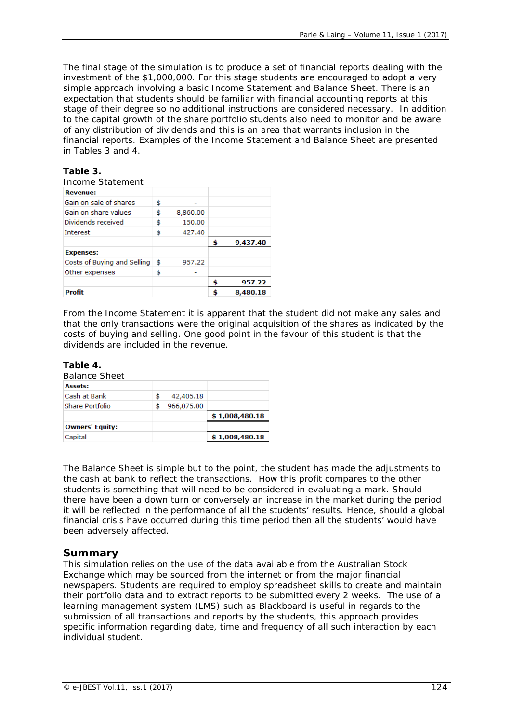The final stage of the simulation is to produce a set of financial reports dealing with the investment of the \$1,000,000. For this stage students are encouraged to adopt a very simple approach involving a basic Income Statement and Balance Sheet. There is an expectation that students should be familiar with financial accounting reports at this stage of their degree so no additional instructions are considered necessary. In addition to the capital growth of the share portfolio students also need to monitor and be aware of any distribution of dividends and this is an area that warrants inclusion in the financial reports. Examples of the Income Statement and Balance Sheet are presented in Tables 3 and 4.

### **Table 3.**

| Income Statement            |    |          |                |
|-----------------------------|----|----------|----------------|
| <b>Revenue:</b>             |    |          |                |
| Gain on sale of shares      | \$ |          |                |
| Gain on share values        | \$ | 8,860,00 |                |
| Dividends received          | \$ | 150.00   |                |
| <b>Interest</b>             | \$ | 427.40   |                |
|                             |    |          | \$<br>9,437.40 |
| <b>Expenses:</b>            |    |          |                |
| Costs of Buving and Selling | Ś  | 957.22   |                |
| Other expenses              | \$ |          |                |
|                             |    |          | \$<br>957.22   |
| <b>Profit</b>               |    |          | \$<br>8,480.18 |

From the Income Statement it is apparent that the student did not make any sales and that the only transactions were the original acquisition of the shares as indicated by the costs of buying and selling. One good point in the favour of this student is that the dividends are included in the revenue.

#### **Table 4.**

Capital

| <b>Owners' Fauity:</b> |   |            |                |
|------------------------|---|------------|----------------|
|                        |   |            | \$1,008,480.18 |
| Share Portfolio        | S | 966,075.00 |                |
| Cash at Bank           |   | 42,405.18  |                |
| <b>Assets:</b>         |   |            |                |
| <i>Balance Sheet</i>   |   |            |                |
|                        |   |            |                |

The Balance Sheet is simple but to the point, the student has made the adjustments to the cash at bank to reflect the transactions. How this profit compares to the other students is something that will need to be considered in evaluating a mark. Should there have been a down turn or conversely an increase in the market during the period it will be reflected in the performance of all the students' results. Hence, should a global financial crisis have occurred during this time period then all the students' would have been adversely affected.

 $$1,008,480.18$ 

### **Summary**

This simulation relies on the use of the data available from the Australian Stock Exchange which may be sourced from the internet or from the major financial newspapers. Students are required to employ spreadsheet skills to create and maintain their portfolio data and to extract reports to be submitted every 2 weeks. The use of a learning management system (LMS) such as Blackboard is useful in regards to the submission of all transactions and reports by the students, this approach provides specific information regarding date, time and frequency of all such interaction by each individual student.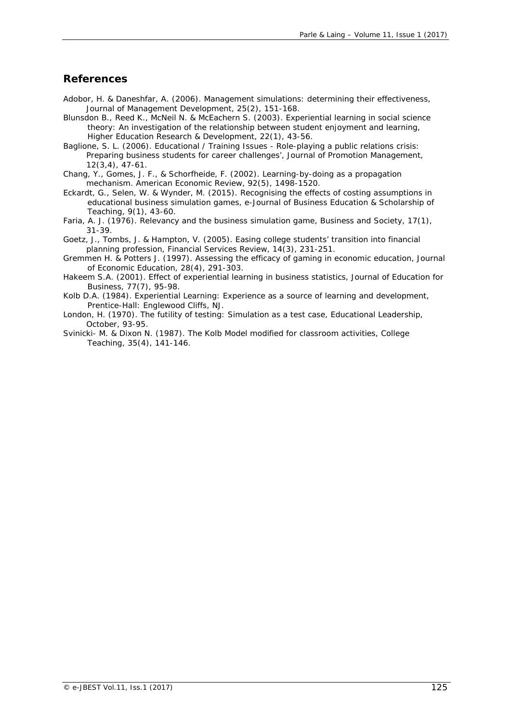### **References**

- Adobor, H. & Daneshfar, A. (2006). Management simulations: determining their effectiveness, *Journal of Management Development*, 25(2), 151-168.
- Blunsdon B., Reed K., McNeil N. & McEachern S. (2003). Experiential learning in social science theory: An investigation of the relationship between student enjoyment and learning, *Higher Education Research & Development*, 22(1), 43-56.
- Baglione, S. L. (2006). Educational / Training Issues Role-playing a public relations crisis: Preparing business students for career challenges', *Journal of Promotion Management,* 12(3,4), 47-61.
- Chang, Y., Gomes, J. F., & Schorfheide, F. (2002). Learning-by-doing as a propagation mechanism. *American Economic Review*, 92(5), 1498-1520.
- Eckardt, G., Selen, W. & Wynder, M. (2015). Recognising the effects of costing assumptions in educational business simulation games, *e-Journal of Business Education & Scholarship of Teaching*, 9(1), 43-60.
- Faria, A. J. (1976). Relevancy and the business simulation game, *Business and Society*, 17(1), 31-39.
- Goetz, J., Tombs, J. & Hampton, V. (2005). Easing college students' transition into financial planning profession, *Financial Services Review*, 14(3), 231-251.
- Gremmen H. & Potters J. (1997). Assessing the efficacy of gaming in economic education, *Journal of Economic Education*, 28(4), 291-303.
- Hakeem S.A. (2001). Effect of experiential learning in business statistics, *Journal of Education for Business*, 77(7), 95-98.
- Kolb D.A. (1984). *Experiential Learning: Experience as a source of learning and development,* Prentice-Hall: Englewood Cliffs, NJ.
- London, H. (1970). The futility of testing: Simulation as a test case, *Educational Leadership*, October, 93-95.
- Svinicki- M. & Dixon N. (1987). The Kolb Model modified for classroom activities, *College Teaching*, 35(4), 141-146.